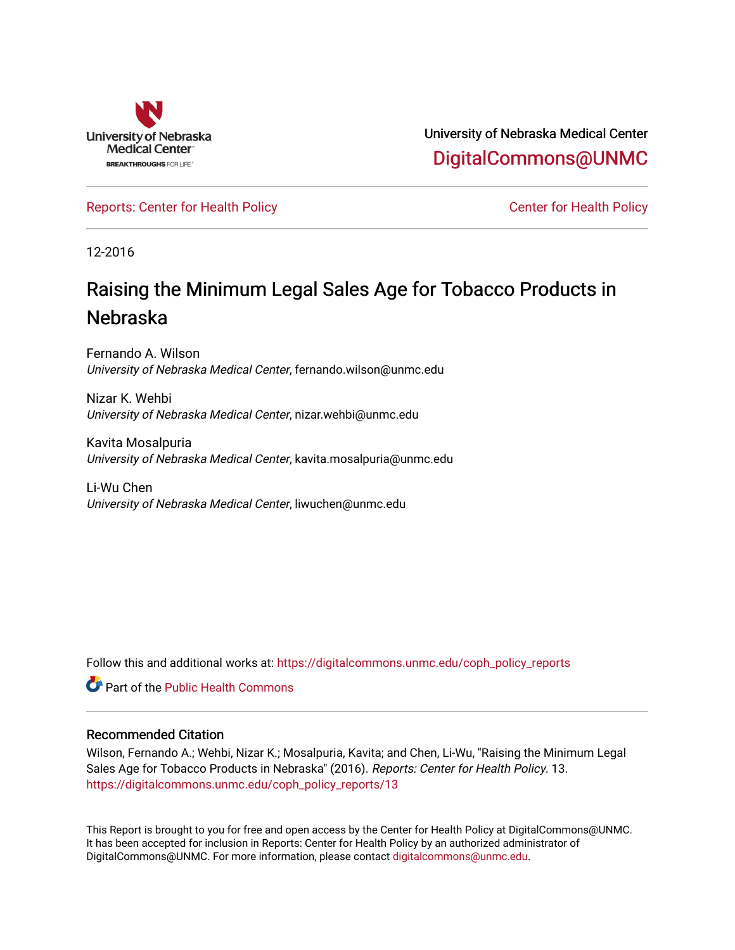

University of Nebraska Medical Center [DigitalCommons@UNMC](https://digitalcommons.unmc.edu/) 

[Reports: Center for Health Policy](https://digitalcommons.unmc.edu/coph_policy_reports) Center for Health Policy

12-2016

## Raising the Minimum Legal Sales Age for Tobacco Products in Nebraska

Fernando A. Wilson University of Nebraska Medical Center, fernando.wilson@unmc.edu

Nizar K. Wehbi University of Nebraska Medical Center, nizar.wehbi@unmc.edu

Kavita Mosalpuria University of Nebraska Medical Center, kavita.mosalpuria@unmc.edu

Li-Wu Chen University of Nebraska Medical Center, liwuchen@unmc.edu

Follow this and additional works at: [https://digitalcommons.unmc.edu/coph\\_policy\\_reports](https://digitalcommons.unmc.edu/coph_policy_reports?utm_source=digitalcommons.unmc.edu%2Fcoph_policy_reports%2F13&utm_medium=PDF&utm_campaign=PDFCoverPages)

**C** Part of the Public Health Commons

#### Recommended Citation

Wilson, Fernando A.; Wehbi, Nizar K.; Mosalpuria, Kavita; and Chen, Li-Wu, "Raising the Minimum Legal Sales Age for Tobacco Products in Nebraska" (2016). Reports: Center for Health Policy. 13. [https://digitalcommons.unmc.edu/coph\\_policy\\_reports/13](https://digitalcommons.unmc.edu/coph_policy_reports/13?utm_source=digitalcommons.unmc.edu%2Fcoph_policy_reports%2F13&utm_medium=PDF&utm_campaign=PDFCoverPages) 

This Report is brought to you for free and open access by the Center for Health Policy at DigitalCommons@UNMC. It has been accepted for inclusion in Reports: Center for Health Policy by an authorized administrator of DigitalCommons@UNMC. For more information, please contact [digitalcommons@unmc.edu.](mailto:digitalcommons@unmc.edu)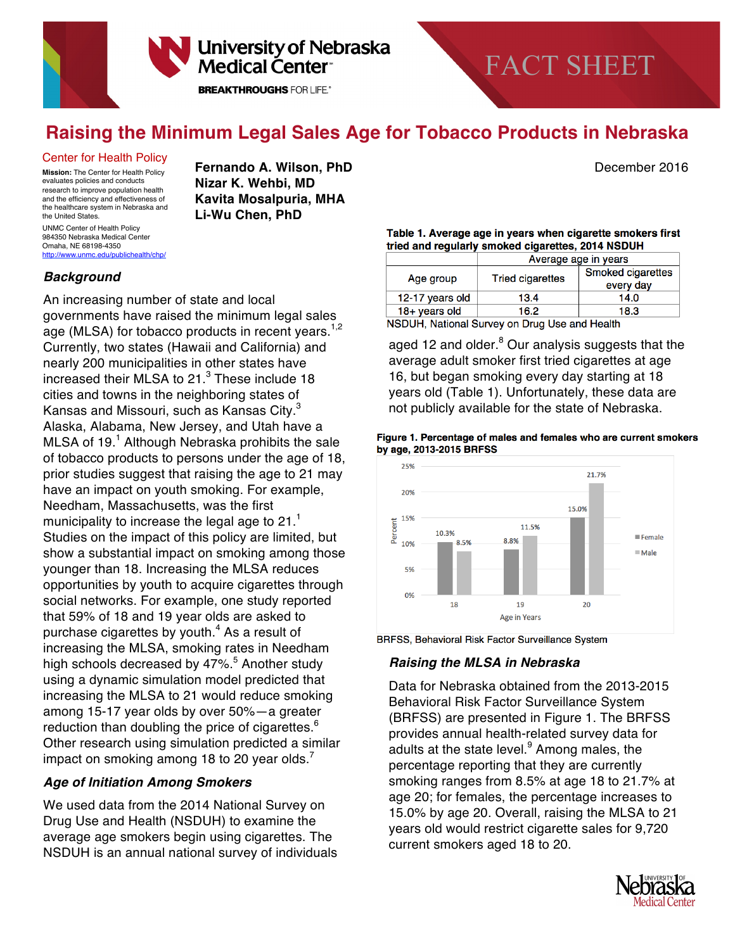

# FACT SHEET

### **Raising the Minimum Legal Sales Age for Tobacco Products in Nebraska**

#### Center for Health Policy

**Mission:** The Center for Health Policy evaluates policies and conducts research to improve population health and the efficiency and effectiveness of the healthcare system in Nebraska and the United States. UNMC Center of Health Policy

984350 Nebraska Medical Center Omaha, NE 68198-4350 http://www.unmc.edu/publichealth/chp/  **Fernando A. Wilson, PhD** December 2016  **Nizar K. Wehbi, MD Kavita Mosalpuria, MHA Li-Wu Chen, PhD**

#### *Background*

An increasing number of state and local governments have raised the minimum legal sales age (MLSA) for tobacco products in recent years.<sup>1,2</sup> Currently, two states (Hawaii and California) and nearly 200 municipalities in other states have increased their MLSA to  $21<sup>3</sup>$  These include 18 cities and towns in the neighboring states of Kansas and Missouri, such as Kansas City.<sup>3</sup> Alaska, Alabama, New Jersey, and Utah have a MLSA of  $19<sup>1</sup>$  Although Nebraska prohibits the sale of tobacco products to persons under the age of 18, prior studies suggest that raising the age to 21 may have an impact on youth smoking. For example, Needham, Massachusetts, was the first municipality to increase the legal age to  $21<sup>1</sup>$ Studies on the impact of this policy are limited, but show a substantial impact on smoking among those younger than 18. Increasing the MLSA reduces opportunities by youth to acquire cigarettes through social networks. For example, one study reported that 59% of 18 and 19 year olds are asked to purchase cigarettes by youth. $4$  As a result of increasing the MLSA, smoking rates in Needham high schools decreased by 47%.<sup>5</sup> Another study using a dynamic simulation model predicted that increasing the MLSA to 21 would reduce smoking among 15-17 year olds by over 50%—a greater reduction than doubling the price of cigarettes. $6$ Other research using simulation predicted a similar impact on smoking among 18 to 20 year olds.<sup>7</sup>

#### *Age of Initiation Among Smokers*

We used data from the 2014 National Survey on Drug Use and Health (NSDUH) to examine the average age smokers begin using cigarettes. The NSDUH is an annual national survey of individuals

#### Table 1. Average age in years when cigarette smokers first tried and regularly smoked cigarettes, 2014 NSDUH

|                                                   | Average age in years    |                   |
|---------------------------------------------------|-------------------------|-------------------|
| Age group                                         | <b>Tried cigarettes</b> | Smoked cigarettes |
|                                                   |                         | every day         |
| 12-17 years old                                   | 13.4                    | 14.0              |
| $18 +$ years old                                  | 16.2                    | 18.3              |
| MODULL Nettened Original an Direct Lee and Health |                         |                   |

NSDUH, National Survey on Drug Use and Health

aged 12 and older.<sup>8</sup> Our analysis suggests that the average adult smoker first tried cigarettes at age 16, but began smoking every day starting at 18 years old (Table 1). Unfortunately, these data are not publicly available for the state of Nebraska.

#### Figure 1. Percentage of males and females who are current smokers by age, 2013-2015 BRFSS



BRFSS, Behavioral Risk Factor Surveillance System

#### *Raising the MLSA in Nebraska*

Data for Nebraska obtained from the 2013-2015 Behavioral Risk Factor Surveillance System (BRFSS) are presented in Figure 1. The BRFSS provides annual health-related survey data for adults at the state level.<sup>9</sup> Among males, the percentage reporting that they are currently smoking ranges from 8.5% at age 18 to 21.7% at age 20; for females, the percentage increases to 15.0% by age 20. Overall, raising the MLSA to 21 years old would restrict cigarette sales for 9,720 current smokers aged 18 to 20.